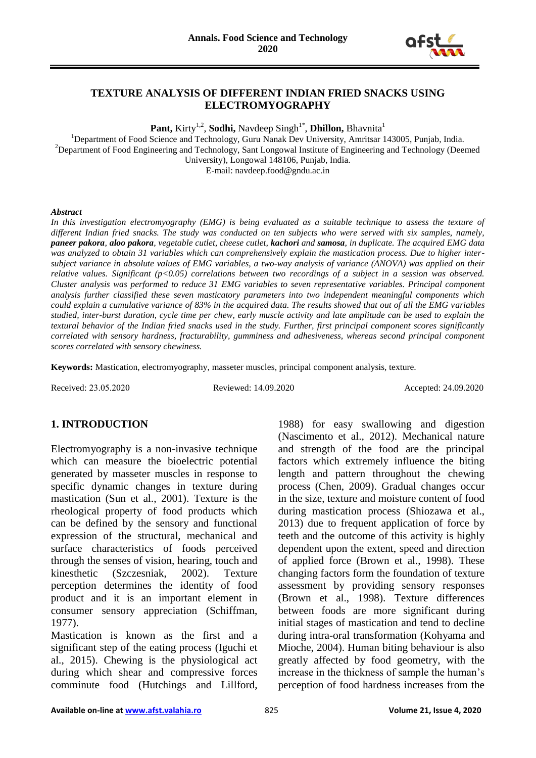

#### **TEXTURE ANALYSIS OF DIFFERENT INDIAN FRIED SNACKS USING ELECTROMYOGRAPHY**

**Pant,** Kirty<sup>1,2</sup>, **Sodhi,** Navdeep Singh<sup>1\*</sup>, **Dhillon,** Bhavnita<sup>1</sup>

<sup>1</sup>Department of Food Science and Technology, Guru Nanak Dev University, Amritsar 143005, Punjab, India. <sup>2</sup>Department of Food Engineering and Technology, Sant Longowal Institute of Engineering and Technology (Deemed University), Longowal 148106, Punjab, India.

E-mail: navdeep.food@gndu.ac.in

#### *Abstract*

In this investigation electromyography (EMG) is being evaluated as a suitable technique to assess the texture of *different Indian fried snacks. The study was conducted on ten subjects who were served with six samples, namely, paneer pakora, aloo pakora, vegetable cutlet, cheese cutlet, kachori and samosa, in duplicate. The acquired EMG data was analyzed to obtain 31 variables which can comprehensively explain the mastication process. Due to higher intersubject variance in absolute values of EMG variables, a two-way analysis of variance (ANOVA) was applied on their relative values. Significant (p<0.05) correlations between two recordings of a subject in a session was observed. Cluster analysis was performed to reduce 31 EMG variables to seven representative variables. Principal component analysis further classified these seven masticatory parameters into two independent meaningful components which could explain a cumulative variance of 83% in the acquired data. The results showed that out of all the EMG variables studied, inter-burst duration, cycle time per chew, early muscle activity and late amplitude can be used to explain the textural behavior of the Indian fried snacks used in the study. Further, first principal component scores significantly correlated with sensory hardness, fracturability, gumminess and adhesiveness, whereas second principal component scores correlated with sensory chewiness.*

**Keywords:** Mastication, electromyography, masseter muscles, principal component analysis, texture.

Received: 23.05.2020 Reviewed: 14.09.2020 Accepted: 24.09.2020

# **1. INTRODUCTION**

Electromyography is a non-invasive technique which can measure the bioelectric potential generated by masseter muscles in response to specific dynamic changes in texture during mastication (Sun et al., 2001). Texture is the rheological property of food products which can be defined by the sensory and functional expression of the structural, mechanical and surface characteristics of foods perceived through the senses of vision, hearing, touch and kinesthetic (Szczesniak, 2002). Texture perception determines the identity of food product and it is an important element in consumer sensory appreciation (Schiffman, 1977).

Mastication is known as the first and a significant step of the eating process (Iguchi et al., 2015). Chewing is the physiological act during which shear and compressive forces comminute food (Hutchings and Lillford,

1988) for easy swallowing and digestion (Nascimento et al., 2012). Mechanical nature and strength of the food are the principal factors which extremely influence the biting length and pattern throughout the chewing process (Chen, 2009). Gradual changes occur in the size, texture and moisture content of food during mastication process (Shiozawa et al., 2013) due to frequent application of force by teeth and the outcome of this activity is highly dependent upon the extent, speed and direction of applied force (Brown et al., 1998). These changing factors form the foundation of texture assessment by providing sensory responses (Brown et al., 1998). Texture differences between foods are more significant during initial stages of mastication and tend to decline during intra-oral transformation (Kohyama and Mioche, 2004). Human biting behaviour is also greatly affected by food geometry, with the increase in the thickness of sample the human's perception of food hardness increases from the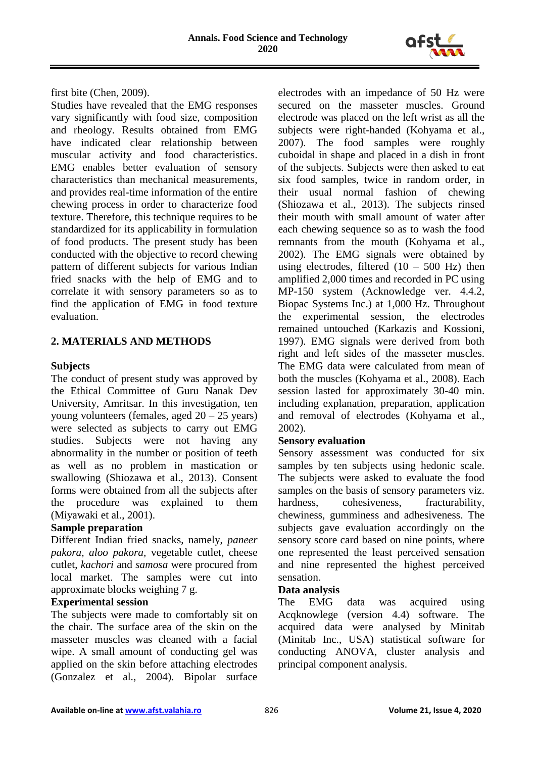

first bite (Chen, 2009).

Studies have revealed that the EMG responses vary significantly with food size, composition and rheology. Results obtained from EMG have indicated clear relationship between muscular activity and food characteristics. EMG enables better evaluation of sensory characteristics than mechanical measurements, and provides real-time information of the entire chewing process in order to characterize food texture. Therefore, this technique requires to be standardized for its applicability in formulation of food products. The present study has been conducted with the objective to record chewing pattern of different subjects for various Indian fried snacks with the help of EMG and to correlate it with sensory parameters so as to find the application of EMG in food texture evaluation.

# **2. MATERIALS AND METHODS**

# **Subjects**

The conduct of present study was approved by the Ethical Committee of Guru Nanak Dev University, Amritsar. In this investigation, ten young volunteers (females, aged  $20 - 25$  years) were selected as subjects to carry out EMG studies. Subjects were not having any abnormality in the number or position of teeth as well as no problem in mastication or swallowing (Shiozawa et al., 2013). Consent forms were obtained from all the subjects after the procedure was explained to them (Miyawaki et al., 2001).

# **Sample preparation**

Different Indian fried snacks, namely, *paneer pakora, aloo pakora,* vegetable cutlet, cheese cutlet, *kachori* and *samosa* were procured from local market. The samples were cut into approximate blocks weighing 7 g.

# **Experimental session**

The subjects were made to comfortably sit on the chair. The surface area of the skin on the masseter muscles was cleaned with a facial wipe. A small amount of conducting gel was applied on the skin before attaching electrodes (Gonzalez et al., 2004). Bipolar surface electrodes with an impedance of 50 Hz were secured on the masseter muscles. Ground electrode was placed on the left wrist as all the subjects were right-handed (Kohyama et al., 2007). The food samples were roughly cuboidal in shape and placed in a dish in front of the subjects. Subjects were then asked to eat six food samples, twice in random order, in their usual normal fashion of chewing (Shiozawa et al., 2013). The subjects rinsed their mouth with small amount of water after each chewing sequence so as to wash the food remnants from the mouth (Kohyama et al., 2002). The EMG signals were obtained by using electrodes, filtered  $(10 - 500 \text{ Hz})$  then amplified 2,000 times and recorded in PC using MP-150 system (Acknowledge ver. 4.4.2, Biopac Systems Inc.) at 1,000 Hz. Throughout the experimental session, the electrodes remained untouched (Karkazis and Kossioni, 1997). EMG signals were derived from both right and left sides of the masseter muscles. The EMG data were calculated from mean of both the muscles (Kohyama et al., 2008). Each session lasted for approximately 30-40 min. including explanation, preparation, application and removal of electrodes (Kohyama et al., 2002).

# **Sensory evaluation**

Sensory assessment was conducted for six samples by ten subjects using hedonic scale. The subjects were asked to evaluate the food samples on the basis of sensory parameters viz. hardness, cohesiveness, fracturability, chewiness, gumminess and adhesiveness. The subjects gave evaluation accordingly on the sensory score card based on nine points, where one represented the least perceived sensation and nine represented the highest perceived sensation.

# **Data analysis**

The EMG data was acquired using Acqknowlege (version 4.4) software. The acquired data were analysed by Minitab (Minitab Inc., USA) statistical software for conducting ANOVA, cluster analysis and principal component analysis.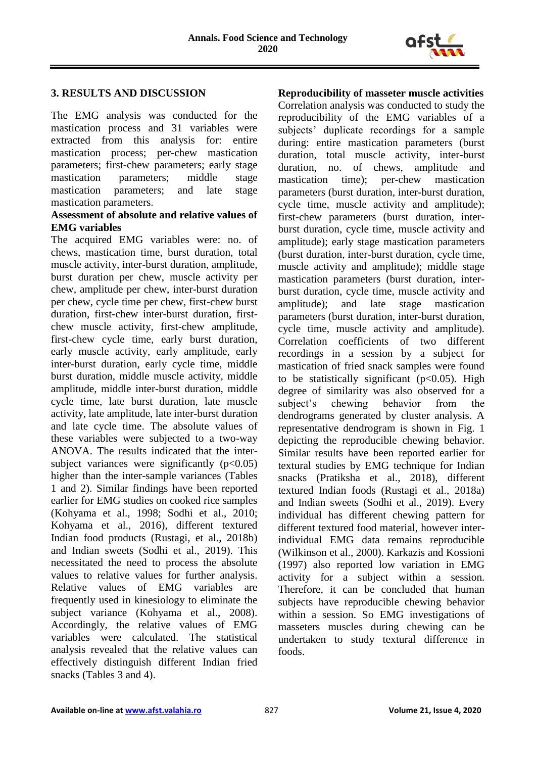

#### **3. RESULTS AND DISCUSSION**

The EMG analysis was conducted for the mastication process and 31 variables were extracted from this analysis for: entire mastication process; per-chew mastication parameters; first-chew parameters; early stage mastication parameters; middle stage mastication parameters; and late stage mastication parameters.

#### **Assessment of absolute and relative values of EMG variables**

The acquired EMG variables were: no. of chews, mastication time, burst duration, total muscle activity, inter-burst duration, amplitude, burst duration per chew, muscle activity per chew, amplitude per chew, inter-burst duration per chew, cycle time per chew, first-chew burst duration, first-chew inter-burst duration, firstchew muscle activity, first-chew amplitude, first-chew cycle time, early burst duration, early muscle activity, early amplitude, early inter-burst duration, early cycle time, middle burst duration, middle muscle activity, middle amplitude, middle inter-burst duration, middle cycle time, late burst duration, late muscle activity, late amplitude, late inter-burst duration and late cycle time. The absolute values of these variables were subjected to a two-way ANOVA. The results indicated that the intersubject variances were significantly  $(p<0.05)$ higher than the inter-sample variances (Tables 1 and 2). Similar findings have been reported earlier for EMG studies on cooked rice samples (Kohyama et al., 1998; Sodhi et al., 2010; Kohyama et al., 2016), different textured Indian food products (Rustagi, et al., 2018b) and Indian sweets (Sodhi et al., 2019). This necessitated the need to process the absolute values to relative values for further analysis. Relative values of EMG variables are frequently used in kinesiology to eliminate the subject variance (Kohyama et al., 2008). Accordingly, the relative values of EMG variables were calculated. The statistical analysis revealed that the relative values can effectively distinguish different Indian fried snacks (Tables 3 and 4).

**Reproducibility of masseter muscle activities** Correlation analysis was conducted to study the reproducibility of the EMG variables of a subjects' duplicate recordings for a sample during: entire mastication parameters (burst duration, total muscle activity, inter-burst duration, no. of chews, amplitude and mastication time); per-chew mastication parameters (burst duration, inter-burst duration, cycle time, muscle activity and amplitude); first-chew parameters (burst duration, interburst duration, cycle time, muscle activity and amplitude); early stage mastication parameters (burst duration, inter-burst duration, cycle time, muscle activity and amplitude); middle stage mastication parameters (burst duration, interburst duration, cycle time, muscle activity and amplitude); and late stage mastication parameters (burst duration, inter-burst duration, cycle time, muscle activity and amplitude). Correlation coefficients of two different recordings in a session by a subject for mastication of fried snack samples were found to be statistically significant  $(p<0.05)$ . High degree of similarity was also observed for a subject's chewing behavior from the dendrograms generated by cluster analysis. A representative dendrogram is shown in Fig. 1 depicting the reproducible chewing behavior. Similar results have been reported earlier for textural studies by EMG technique for Indian snacks (Pratiksha et al., 2018), different textured Indian foods (Rustagi et al., 2018a) and Indian sweets (Sodhi et al., 2019). Every individual has different chewing pattern for different textured food material, however interindividual EMG data remains reproducible (Wilkinson et al., 2000). Karkazis and Kossioni (1997) also reported low variation in EMG activity for a subject within a session. Therefore, it can be concluded that human subjects have reproducible chewing behavior within a session. So EMG investigations of masseters muscles during chewing can be undertaken to study textural difference in foods.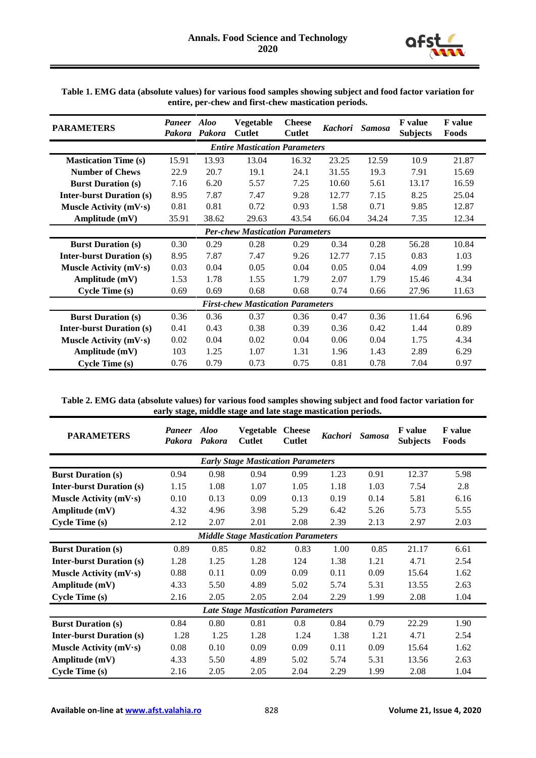

| <b>PARAMETERS</b>                      | <b>Paneer</b><br>Pakora              | <b>Aloo</b><br>Pakora | Vegetable<br><b>Cutlet</b>               | <b>Cheese</b><br><b>Cutlet</b> | <b>Kachori</b> | <b>Samosa</b> | <b>F</b> value<br><b>Subjects</b> | <b>F</b> value<br>Foods |  |  |  |
|----------------------------------------|--------------------------------------|-----------------------|------------------------------------------|--------------------------------|----------------|---------------|-----------------------------------|-------------------------|--|--|--|
|                                        | <b>Entire Mastication Parameters</b> |                       |                                          |                                |                |               |                                   |                         |  |  |  |
| <b>Mastication Time (s)</b>            | 15.91                                | 13.93                 | 13.04                                    | 16.32                          | 23.25          | 12.59         | 10.9                              | 21.87                   |  |  |  |
| <b>Number of Chews</b>                 | 22.9                                 | 20.7                  | 19.1                                     | 24.1                           | 31.55          | 19.3          | 7.91                              | 15.69                   |  |  |  |
| <b>Burst Duration (s)</b>              | 7.16                                 | 6.20                  | 5.57                                     | 7.25                           | 10.60          | 5.61          | 13.17                             | 16.59                   |  |  |  |
| <b>Inter-burst Duration (s)</b>        | 8.95                                 | 7.87                  | 7.47                                     | 9.28                           | 12.77          | 7.15          | 8.25                              | 25.04                   |  |  |  |
| Muscle Activity $(mV·s)$               | 0.81                                 | 0.81                  | 0.72                                     | 0.93                           | 1.58           | 0.71          | 9.85                              | 12.87                   |  |  |  |
| Amplitude (mV)                         | 35.91                                | 38.62                 | 29.63                                    | 43.54                          | 66.04          | 34.24         | 7.35                              | 12.34                   |  |  |  |
| <b>Per-chew Mastication Parameters</b> |                                      |                       |                                          |                                |                |               |                                   |                         |  |  |  |
| <b>Burst Duration (s)</b>              | 0.30                                 | 0.29                  | 0.28                                     | 0.29                           | 0.34           | 0.28          | 56.28                             | 10.84                   |  |  |  |
| <b>Inter-burst Duration (s)</b>        | 8.95                                 | 7.87                  | 7.47                                     | 9.26                           | 12.77          | 7.15          | 0.83                              | 1.03                    |  |  |  |
| Muscle Activity $(mV·s)$               | 0.03                                 | 0.04                  | 0.05                                     | 0.04                           | 0.05           | 0.04          | 4.09                              | 1.99                    |  |  |  |
| Amplitude (mV)                         | 1.53                                 | 1.78                  | 1.55                                     | 1.79                           | 2.07           | 1.79          | 15.46                             | 4.34                    |  |  |  |
| <b>Cycle Time (s)</b>                  | 0.69                                 | 0.69                  | 0.68                                     | 0.68                           | 0.74           | 0.66          | 27.96                             | 11.63                   |  |  |  |
|                                        |                                      |                       | <b>First-chew Mastication Parameters</b> |                                |                |               |                                   |                         |  |  |  |
| <b>Burst Duration (s)</b>              | 0.36                                 | 0.36                  | 0.37                                     | 0.36                           | 0.47           | 0.36          | 11.64                             | 6.96                    |  |  |  |
| <b>Inter-burst Duration (s)</b>        | 0.41                                 | 0.43                  | 0.38                                     | 0.39                           | 0.36           | 0.42          | 1.44                              | 0.89                    |  |  |  |
| Muscle Activity $(mV·s)$               | 0.02                                 | 0.04                  | 0.02                                     | 0.04                           | 0.06           | 0.04          | 1.75                              | 4.34                    |  |  |  |
| Amplitude (mV)                         | 103                                  | 1.25                  | 1.07                                     | 1.31                           | 1.96           | 1.43          | 2.89                              | 6.29                    |  |  |  |
| <b>Cycle Time (s)</b>                  | 0.76                                 | 0.79                  | 0.73                                     | 0.75                           | 0.81           | 0.78          | 7.04                              | 0.97                    |  |  |  |

**Table 1. EMG data (absolute values) for various food samples showing subject and food factor variation for entire, per-chew and first-chew mastication periods.**

**Table 2. EMG data (absolute values) for various food samples showing subject and food factor variation for early stage, middle stage and late stage mastication periods.**

| <b>PARAMETERS</b>               | <b>Paneer</b><br>Pakora | <b>Aloo</b><br>Pakora | Vegetable<br><b>Cutlet</b>                 | <b>Cheese</b><br><b>Cutlet</b> | <b>Kachori</b> | <b>Samosa</b> | <b>F</b> value<br><b>Subjects</b> | <b>F</b> value<br>Foods |
|---------------------------------|-------------------------|-----------------------|--------------------------------------------|--------------------------------|----------------|---------------|-----------------------------------|-------------------------|
|                                 |                         |                       | <b>Early Stage Mastication Parameters</b>  |                                |                |               |                                   |                         |
| <b>Burst Duration (s)</b>       | 0.94                    | 0.98                  | 0.94                                       | 0.99                           | 1.23           | 0.91          | 12.37                             | 5.98                    |
| <b>Inter-burst Duration (s)</b> | 1.15                    | 1.08                  | 1.07                                       | 1.05                           | 1.18           | 1.03          | 7.54                              | 2.8                     |
| Muscle Activity $(mV·s)$        | 0.10                    | 0.13                  | 0.09                                       | 0.13                           | 0.19           | 0.14          | 5.81                              | 6.16                    |
| Amplitude (mV)                  | 4.32                    | 4.96                  | 3.98                                       | 5.29                           | 6.42           | 5.26          | 5.73                              | 5.55                    |
| <b>Cycle Time (s)</b>           | 2.12                    | 2.07                  | 2.01                                       | 2.08                           | 2.39           | 2.13          | 2.97                              | 2.03                    |
|                                 |                         |                       | <b>Middle Stage Mastication Parameters</b> |                                |                |               |                                   |                         |
| <b>Burst Duration (s)</b>       | 0.89                    | 0.85                  | 0.82                                       | 0.83                           | 1.00           | 0.85          | 21.17                             | 6.61                    |
| <b>Inter-burst Duration (s)</b> | 1.28                    | 1.25                  | 1.28                                       | 124                            | 1.38           | 1.21          | 4.71                              | 2.54                    |
| Muscle Activity $(mV·s)$        | 0.88                    | 0.11                  | 0.09                                       | 0.09                           | 0.11           | 0.09          | 15.64                             | 1.62                    |
| Amplitude (mV)                  | 4.33                    | 5.50                  | 4.89                                       | 5.02                           | 5.74           | 5.31          | 13.55                             | 2.63                    |
| <b>Cycle Time (s)</b>           | 2.16                    | 2.05                  | 2.05                                       | 2.04                           | 2.29           | 1.99          | 2.08                              | 1.04                    |
|                                 |                         |                       | <b>Late Stage Mastication Parameters</b>   |                                |                |               |                                   |                         |
| <b>Burst Duration (s)</b>       | 0.84                    | 0.80                  | 0.81                                       | 0.8                            | 0.84           | 0.79          | 22.29                             | 1.90                    |
| <b>Inter-burst Duration (s)</b> | 1.28                    | 1.25                  | 1.28                                       | 1.24                           | 1.38           | 1.21          | 4.71                              | 2.54                    |
| Muscle Activity $(mV·s)$        | 0.08                    | 0.10                  | 0.09                                       | 0.09                           | 0.11           | 0.09          | 15.64                             | 1.62                    |
| Amplitude (mV)                  | 4.33                    | 5.50                  | 4.89                                       | 5.02                           | 5.74           | 5.31          | 13.56                             | 2.63                    |
| <b>Cycle Time (s)</b>           | 2.16                    | 2.05                  | 2.05                                       | 2.04                           | 2.29           | 1.99          | 2.08                              | 1.04                    |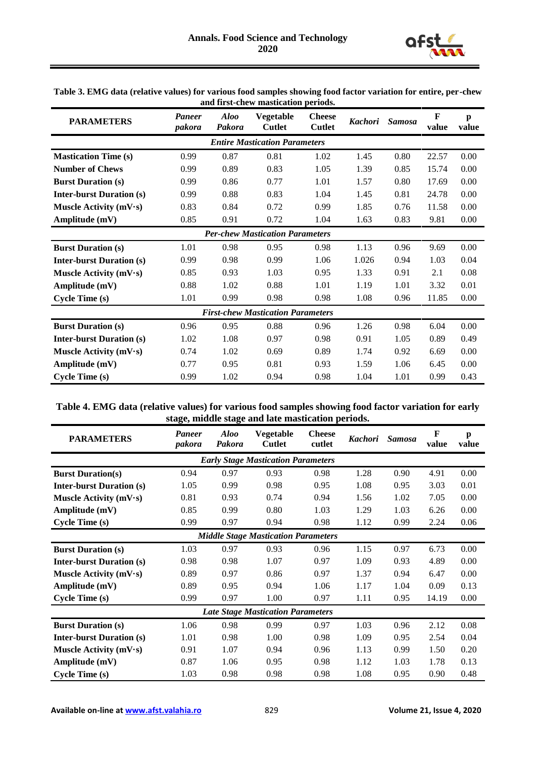

| Table 3. EMG data (relative values) for various food samples showing food factor variation for entire, per-chew |
|-----------------------------------------------------------------------------------------------------------------|
| and first-chew mastication periods.                                                                             |

| <b>PARAMETERS</b>               | <b>Paneer</b><br>pakora | <b>Aloo</b><br>Pakora | Vegetable<br>Cutlet                      | <b>Cheese</b><br><b>Cutlet</b> | <b>Kachori</b> | <b>Samosa</b> | $\mathbf{F}$<br>value | $\mathbf{p}$<br>value |
|---------------------------------|-------------------------|-----------------------|------------------------------------------|--------------------------------|----------------|---------------|-----------------------|-----------------------|
|                                 |                         |                       | <b>Entire Mastication Parameters</b>     |                                |                |               |                       |                       |
| <b>Mastication Time (s)</b>     | 0.99                    | 0.87                  | 0.81                                     | 1.02                           | 1.45           | 0.80          | 22.57                 | 0.00                  |
| <b>Number of Chews</b>          | 0.99                    | 0.89                  | 0.83                                     | 1.05                           | 1.39           | 0.85          | 15.74                 | 0.00                  |
| <b>Burst Duration (s)</b>       | 0.99                    | 0.86                  | 0.77                                     | 1.01                           | 1.57           | 0.80          | 17.69                 | 0.00                  |
| <b>Inter-burst Duration (s)</b> | 0.99                    | 0.88                  | 0.83                                     | 1.04                           | 1.45           | 0.81          | 24.78                 | 0.00                  |
| Muscle Activity $(mV·s)$        | 0.83                    | 0.84                  | 0.72                                     | 0.99                           | 1.85           | 0.76          | 11.58                 | 0.00                  |
| Amplitude (mV)                  | 0.85                    | 0.91                  | 0.72                                     | 1.04                           | 1.63           | 0.83          | 9.81                  | 0.00                  |
|                                 |                         |                       | <b>Per-chew Mastication Parameters</b>   |                                |                |               |                       |                       |
| <b>Burst Duration (s)</b>       | 1.01                    | 0.98                  | 0.95                                     | 0.98                           | 1.13           | 0.96          | 9.69                  | 0.00                  |
| <b>Inter-burst Duration (s)</b> | 0.99                    | 0.98                  | 0.99                                     | 1.06                           | 1.026          | 0.94          | 1.03                  | 0.04                  |
| Muscle Activity $(mV·s)$        | 0.85                    | 0.93                  | 1.03                                     | 0.95                           | 1.33           | 0.91          | 2.1                   | 0.08                  |
| Amplitude (mV)                  | 0.88                    | 1.02                  | 0.88                                     | 1.01                           | 1.19           | 1.01          | 3.32                  | 0.01                  |
| <b>Cycle Time (s)</b>           | 1.01                    | 0.99                  | 0.98                                     | 0.98                           | 1.08           | 0.96          | 11.85                 | 0.00                  |
|                                 |                         |                       | <b>First-chew Mastication Parameters</b> |                                |                |               |                       |                       |
| <b>Burst Duration (s)</b>       | 0.96                    | 0.95                  | 0.88                                     | 0.96                           | 1.26           | 0.98          | 6.04                  | 0.00                  |
| <b>Inter-burst Duration (s)</b> | 1.02                    | 1.08                  | 0.97                                     | 0.98                           | 0.91           | 1.05          | 0.89                  | 0.49                  |
| Muscle Activity $(mV·s)$        | 0.74                    | 1.02                  | 0.69                                     | 0.89                           | 1.74           | 0.92          | 6.69                  | 0.00                  |
| Amplitude (mV)                  | 0.77                    | 0.95                  | 0.81                                     | 0.93                           | 1.59           | 1.06          | 6.45                  | 0.00                  |
| <b>Cycle Time (s)</b>           | 0.99                    | 1.02                  | 0.94                                     | 0.98                           | 1.04           | 1.01          | 0.99                  | 0.43                  |

| Table 4. EMG data (relative values) for various food samples showing food factor variation for early |
|------------------------------------------------------------------------------------------------------|
| stage, middle stage and late mastication periods.                                                    |

| <b>PARAMETERS</b>               | <b>Paneer</b><br>pakora | <b>Aloo</b><br>Pakora | <b>Vegetable</b><br><b>Cutlet</b>          | <b>Cheese</b><br>cutlet | <b>Kachori</b> | <b>Samosa</b> | $\mathbf{F}$<br>value | p<br>value |
|---------------------------------|-------------------------|-----------------------|--------------------------------------------|-------------------------|----------------|---------------|-----------------------|------------|
|                                 |                         |                       | <b>Early Stage Mastication Parameters</b>  |                         |                |               |                       |            |
| <b>Burst Duration(s)</b>        | 0.94                    | 0.97                  | 0.93                                       | 0.98                    | 1.28           | 0.90          | 4.91                  | 0.00       |
| <b>Inter-burst Duration (s)</b> | 1.05                    | 0.99                  | 0.98                                       | 0.95                    | 1.08           | 0.95          | 3.03                  | 0.01       |
| Muscle Activity $(mV·s)$        | 0.81                    | 0.93                  | 0.74                                       | 0.94                    | 1.56           | 1.02          | 7.05                  | 0.00       |
| Amplitude (mV)                  | 0.85                    | 0.99                  | 0.80                                       | 1.03                    | 1.29           | 1.03          | 6.26                  | 0.00       |
| <b>Cycle Time (s)</b>           | 0.99                    | 0.97                  | 0.94                                       | 0.98                    | 1.12           | 0.99          | 2.24                  | 0.06       |
|                                 |                         |                       | <b>Middle Stage Mastication Parameters</b> |                         |                |               |                       |            |
| <b>Burst Duration (s)</b>       | 1.03                    | 0.97                  | 0.93                                       | 0.96                    | 1.15           | 0.97          | 6.73                  | 0.00       |
| <b>Inter-burst Duration (s)</b> | 0.98                    | 0.98                  | 1.07                                       | 0.97                    | 1.09           | 0.93          | 4.89                  | 0.00       |
| Muscle Activity $(mV·s)$        | 0.89                    | 0.97                  | 0.86                                       | 0.97                    | 1.37           | 0.94          | 6.47                  | 0.00       |
| Amplitude (mV)                  | 0.89                    | 0.95                  | 0.94                                       | 1.06                    | 1.17           | 1.04          | 0.09                  | 0.13       |
| <b>Cycle Time (s)</b>           | 0.99                    | 0.97                  | 1.00                                       | 0.97                    | 1.11           | 0.95          | 14.19                 | 0.00       |
|                                 |                         |                       | <b>Late Stage Mastication Parameters</b>   |                         |                |               |                       |            |
| <b>Burst Duration (s)</b>       | 1.06                    | 0.98                  | 0.99                                       | 0.97                    | 1.03           | 0.96          | 2.12                  | 0.08       |
| <b>Inter-burst Duration (s)</b> | 1.01                    | 0.98                  | 1.00                                       | 0.98                    | 1.09           | 0.95          | 2.54                  | 0.04       |
| Muscle Activity (mV·s)          | 0.91                    | 1.07                  | 0.94                                       | 0.96                    | 1.13           | 0.99          | 1.50                  | 0.20       |
| Amplitude (mV)                  | 0.87                    | 1.06                  | 0.95                                       | 0.98                    | 1.12           | 1.03          | 1.78                  | 0.13       |
| <b>Cycle Time (s)</b>           | 1.03                    | 0.98                  | 0.98                                       | 0.98                    | 1.08           | 0.95          | 0.90                  | 0.48       |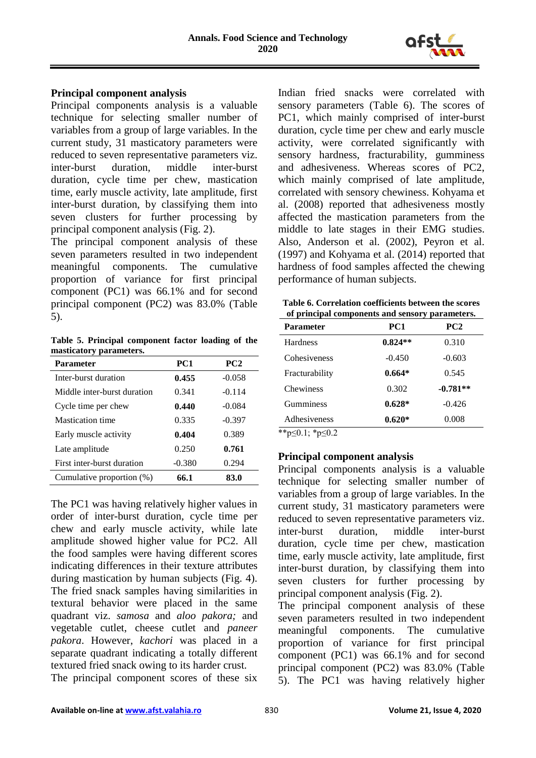

#### **Principal component analysis**

Principal components analysis is a valuable technique for selecting smaller number of variables from a group of large variables. In the current study, 31 masticatory parameters were reduced to seven representative parameters viz. inter-burst duration, middle inter-burst duration, cycle time per chew, mastication time, early muscle activity, late amplitude, first inter-burst duration, by classifying them into seven clusters for further processing by principal component analysis (Fig. 2).

The principal component analysis of these seven parameters resulted in two independent meaningful components. The cumulative proportion of variance for first principal component (PC1) was 66.1% and for second principal component (PC2) was 83.0% (Table 5).

**Table 5. Principal component factor loading of the masticatory parameters.**

| Parameter                   | PC <sub>1</sub> | PC <sub>2</sub> |
|-----------------------------|-----------------|-----------------|
| Inter-burst duration        | 0.455           | $-0.058$        |
| Middle inter-burst duration | 0.341           | $-0.114$        |
| Cycle time per chew         | 0.440           | $-0.084$        |
| <b>Mastication time</b>     | 0.335           | $-0.397$        |
| Early muscle activity       | 0.404           | 0.389           |
| Late amplitude              | 0.250           | 0.761           |
| First inter-burst duration  | $-0.380$        | 0.294           |
| Cumulative proportion (%)   | 66.1            | 83.0            |

The PC1 was having relatively higher values in order of inter-burst duration, cycle time per chew and early muscle activity, while late amplitude showed higher value for PC2. All the food samples were having different scores indicating differences in their texture attributes during mastication by human subjects (Fig. 4). The fried snack samples having similarities in textural behavior were placed in the same quadrant viz. *samosa* and *aloo pakora;* and vegetable cutlet, cheese cutlet and *paneer pakora*. However, *kachori* was placed in a separate quadrant indicating a totally different textured fried snack owing to its harder crust.

The principal component scores of these six

Indian fried snacks were correlated with sensory parameters (Table 6). The scores of PC1, which mainly comprised of inter-burst duration, cycle time per chew and early muscle activity, were correlated significantly with sensory hardness, fracturability, gumminess and adhesiveness. Whereas scores of PC2, which mainly comprised of late amplitude, correlated with sensory chewiness. Kohyama et al. (2008) reported that adhesiveness mostly affected the mastication parameters from the middle to late stages in their EMG studies. Also, Anderson et al. (2002), Peyron et al. (1997) and Kohyama et al. (2014) reported that hardness of food samples affected the chewing performance of human subjects.

| Table 6. Correlation coefficients between the scores |
|------------------------------------------------------|
| of principal components and sensory parameters.      |

| ог ргинерат сопіронення ана зейзог у раганістегія |            |  |  |  |  |
|---------------------------------------------------|------------|--|--|--|--|
| PC1                                               | PC2        |  |  |  |  |
| $0.824**$                                         | 0.310      |  |  |  |  |
| $-0.450$                                          | $-0.603$   |  |  |  |  |
| $0.664*$                                          | 0.545      |  |  |  |  |
| 0.302                                             | $-0.781**$ |  |  |  |  |
| $0.628*$                                          | $-0.426$   |  |  |  |  |
| $0.620*$                                          | 0.008      |  |  |  |  |
|                                                   |            |  |  |  |  |

\*\*p≤0.1; \*p≤0.2

# **Principal component analysis**

Principal components analysis is a valuable technique for selecting smaller number of variables from a group of large variables. In the current study, 31 masticatory parameters were reduced to seven representative parameters viz. inter-burst duration, middle inter-burst duration, cycle time per chew, mastication time, early muscle activity, late amplitude, first inter-burst duration, by classifying them into seven clusters for further processing by principal component analysis (Fig. 2).

The principal component analysis of these seven parameters resulted in two independent meaningful components. The cumulative proportion of variance for first principal component (PC1) was 66.1% and for second principal component (PC2) was 83.0% (Table 5). The PC1 was having relatively higher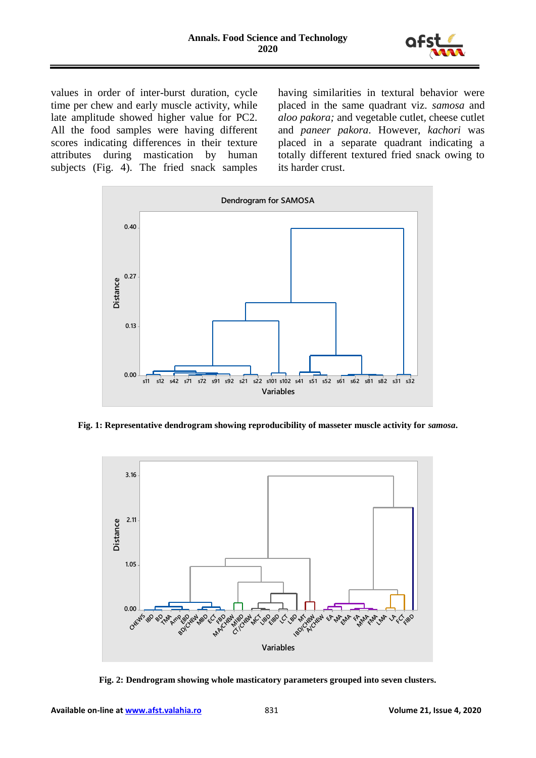

values in order of inter-burst duration, cycle time per chew and early muscle activity, while late amplitude showed higher value for PC2. All the food samples were having different scores indicating differences in their texture attributes during mastication by human subjects (Fig. 4). The fried snack samples having similarities in textural behavior were placed in the same quadrant viz. *samosa* and *aloo pakora;* and vegetable cutlet, cheese cutlet and *paneer pakora*. However, *kachori* was placed in a separate quadrant indicating a totally different textured fried snack owing to its harder crust.



**Fig. 1: Representative dendrogram showing reproducibility of masseter muscle activity for** *samosa***.**



**Fig. 2: Dendrogram showing whole masticatory parameters grouped into seven clusters.**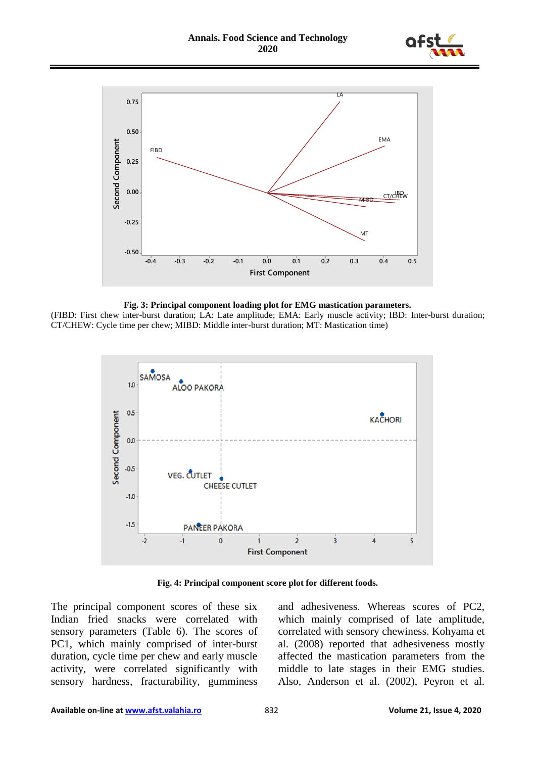





(FIBD: First chew inter-burst duration; LA: Late amplitude; EMA: Early muscle activity; IBD: Inter-burst duration; CT/CHEW: Cycle time per chew; MIBD: Middle inter-burst duration; MT: Mastication time)



**Fig. 4: Principal component score plot for different foods.**

The principal component scores of these six Indian fried snacks were correlated with sensory parameters (Table 6). The scores of PC1, which mainly comprised of inter-burst duration, cycle time per chew and early muscle activity, were correlated significantly with sensory hardness, fracturability, gumminess

and adhesiveness. Whereas scores of PC2, which mainly comprised of late amplitude, correlated with sensory chewiness. Kohyama et al. (2008) reported that adhesiveness mostly affected the mastication parameters from the middle to late stages in their EMG studies. Also, Anderson et al. (2002), Peyron et al.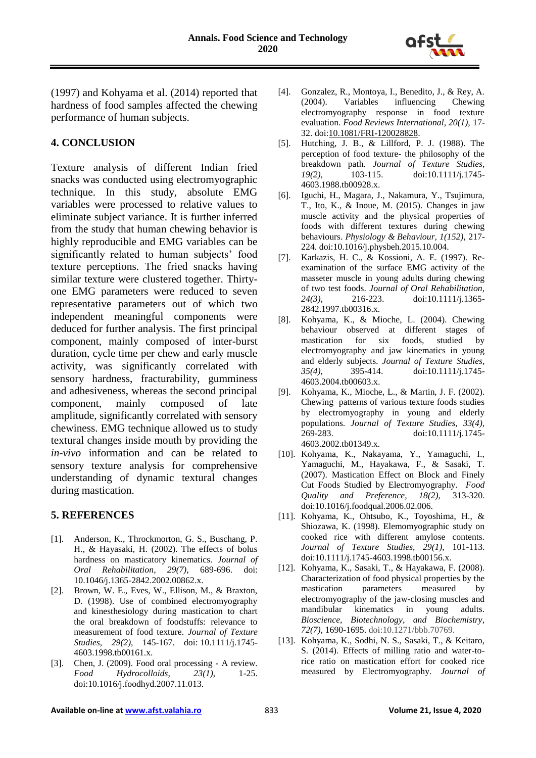

(1997) and Kohyama et al. (2014) reported that hardness of food samples affected the chewing performance of human subjects.

#### **4. CONCLUSION**

Texture analysis of different Indian fried snacks was conducted using electromyographic technique. In this study, absolute EMG variables were processed to relative values to eliminate subject variance. It is further inferred from the study that human chewing behavior is highly reproducible and EMG variables can be significantly related to human subjects' food texture perceptions. The fried snacks having similar texture were clustered together. Thirtyone EMG parameters were reduced to seven representative parameters out of which two independent meaningful components were deduced for further analysis. The first principal component, mainly composed of inter-burst duration, cycle time per chew and early muscle activity, was significantly correlated with sensory hardness, fracturability, gumminess and adhesiveness, whereas the second principal component, mainly composed of late amplitude, significantly correlated with sensory chewiness. EMG technique allowed us to study textural changes inside mouth by providing the *in-vivo* information and can be related to sensory texture analysis for comprehensive understanding of dynamic textural changes during mastication.

# **5. REFERENCES**

- [1]. Anderson, K., Throckmorton, G. S., Buschang, P. H., & Hayasaki, H. (2002). The effects of bolus hardness on masticatory kinematics. *Journal of Oral Rehabilitation, 29(7)*, 689-696. doi: 10.1046/j.1365-2842.2002.00862.x.
- [2]. Brown, W. E., Eves, W., Ellison, M., & Braxton, D. (1998). Use of combined electromyography and kinesthesiology during mastication to chart the oral breakdown of foodstuffs: relevance to measurement of food texture. *Journal of Texture Studies, 29(2)*, 145-167. doi: 10.1111/j.1745- 4603.1998.tb00161.x.
- [3]. Chen, J. (2009). Food oral processing A review. *Food Hydrocolloids, 23(1)*, 1-25. doi:10.1016/j.foodhyd.2007.11.013.
- [4]. Gonzalez, R., Montoya, I., Benedito, J., & Rey, A. (2004). Variables influencing Chewing electromyography response in food texture evaluation. *Food Reviews International, 20(1),* 17- 32. doi[:10.1081/FRI-120028828.](http://dx.doi.org/10.1081/FRI-120028828)
- [5]. Hutching, J. B., & Lillford, P. J. (1988). The perception of food texture- the philosophy of the breakdown path. *Journal of Texture Studies, 19(2),* 103-115. [doi:10.1111/j.1745-](https://doi.org/10.1111/j.1745-4603.1988.tb00928.x) [4603.1988.tb00928.x.](https://doi.org/10.1111/j.1745-4603.1988.tb00928.x)
- [6]. Iguchi, H., Magara, J., Nakamura, Y., Tsujimura, T., Ito, K., & Inoue, M. (2015). Changes in jaw muscle activity and the physical properties of foods with different textures during chewing behaviours. *Physiology & Behaviour, 1(152),* 217- 224. doi:10.1016/j.physbeh.2015.10.004.
- [7]. Karkazis, H. C., & Kossioni, A. E. (1997). Reexamination of the surface EMG activity of the masseter muscle in young adults during chewing of two test foods. *Journal of Oral Rehabilitation, 24(3),* 216-223. doi:10.1111/j.1365- 2842.1997.tb00316.x.
- [8]. Kohyama, K., & Mioche, L. (2004). Chewing behaviour observed at different stages of mastication for six foods, studied by electromyography and jaw kinematics in young and elderly subjects. *Journal of Texture Studies, 35(4)*, 395-414. doi:10.1111/j.1745- 4603.2004.tb00603.x.
- [9]. Kohyama, K., Mioche, L., & Martin, J. F. (2002). Chewing patterns of various texture foods studies by electromyography in young and elderly populations. *Journal of Texture Studies, 33(4),* 269-283. doi:10.1111/j.1745- 4603.2002.tb01349.x.
- [10]. Kohyama, K., Nakayama, Y., Yamaguchi, I., Yamaguchi, M., Hayakawa, F., & Sasaki, T. (2007). Mastication Effect on Block and Finely Cut Foods Studied by Electromyography. *Food Quality and Preference, 18(2),* 313-320. doi:10.1016/j.foodqual.2006.02.006.
- [11]. Kohyama, K., Ohtsubo, K., Toyoshima, H., & Shiozawa, K. (1998). Elemomyographic study on cooked rice with different amylose contents. *Journal of Texture Studies, 29(1),* 101-113. doi:10.1111/j.1745-4603.1998.tb00156.x.
- [12]. Kohyama, K., Sasaki, T., & Hayakawa, F. (2008). Characterization of food physical properties by the mastication parameters measured by electromyography of the jaw-closing muscles and mandibular kinematics in young adults. *Bioscience, Biotechnology, and Biochemistry, 72(7),* 1690-1695. doi:10.1271/bbb.70769.
- [13]. Kohyama, K., Sodhi, N. S., Sasaki, T., & Keitaro, S. (2014). Effects of milling ratio and water-torice ratio on mastication effort for cooked rice measured by Electromyography. *Journal of*